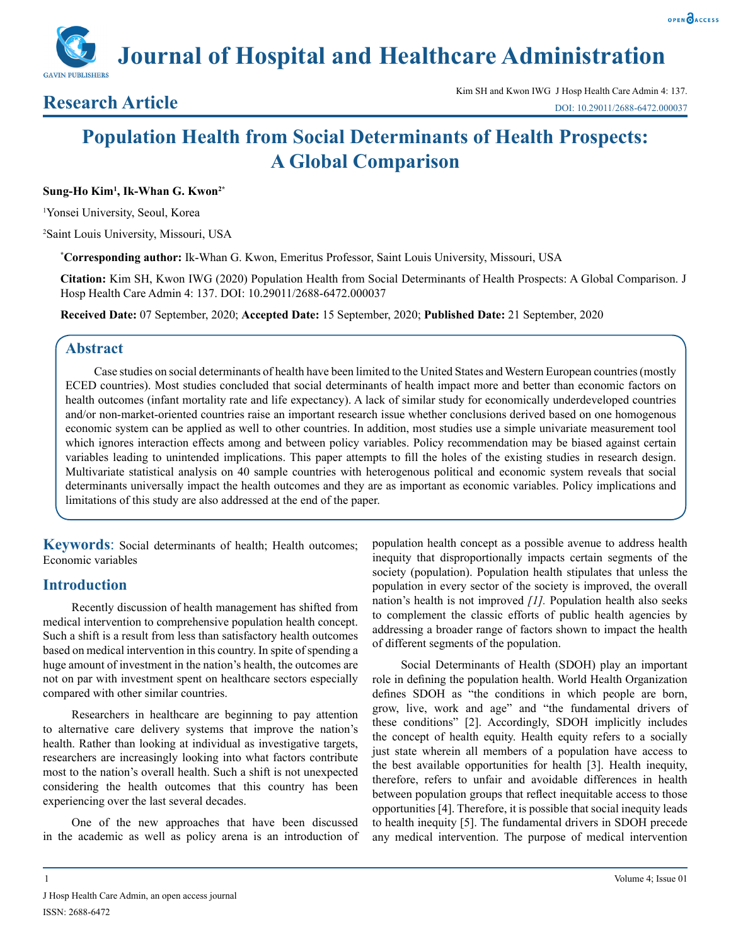**Journal of Hospital and Healthcare Administration**

# **Population Health from Social Determinants of Health Prospects: A Global Comparison**

#### **Sung-Ho Kim1 , Ik-Whan G. Kwon2\***

1 Yonsei University, Seoul, Korea

2 Saint Louis University, Missouri, USA

**\* Corresponding author:** Ik-Whan G. Kwon, Emeritus Professor, Saint Louis University, Missouri, USA

**Citation:** Kim SH, Kwon IWG (2020) Population Health from Social Determinants of Health Prospects: A Global Comparison. J Hosp Health Care Admin 4: 137. DOI: 10.29011/2688-6472.000037

**Received Date:** 07 September, 2020; **Accepted Date:** 15 September, 2020; **Published Date:** 21 September, 2020

# **Abstract**

Case studies on social determinants of health have been limited to the United States and Western European countries (mostly ECED countries). Most studies concluded that social determinants of health impact more and better than economic factors on health outcomes (infant mortality rate and life expectancy). A lack of similar study for economically underdeveloped countries and/or non-market-oriented countries raise an important research issue whether conclusions derived based on one homogenous economic system can be applied as well to other countries. In addition, most studies use a simple univariate measurement tool which ignores interaction effects among and between policy variables. Policy recommendation may be biased against certain variables leading to unintended implications. This paper attempts to fill the holes of the existing studies in research design. Multivariate statistical analysis on 40 sample countries with heterogenous political and economic system reveals that social determinants universally impact the health outcomes and they are as important as economic variables. Policy implications and limitations of this study are also addressed at the end of the paper.

**Keywords:** Social determinants of health; Health outcomes; Economic variables

# **Introduction**

Recently discussion of health management has shifted from medical intervention to comprehensive population health concept. Such a shift is a result from less than satisfactory health outcomes based on medical intervention in this country. In spite of spending a huge amount of investment in the nation's health, the outcomes are not on par with investment spent on healthcare sectors especially compared with other similar countries.

Researchers in healthcare are beginning to pay attention to alternative care delivery systems that improve the nation's health. Rather than looking at individual as investigative targets, researchers are increasingly looking into what factors contribute most to the nation's overall health. Such a shift is not unexpected considering the health outcomes that this country has been experiencing over the last several decades.

One of the new approaches that have been discussed in the academic as well as policy arena is an introduction of population health concept as a possible avenue to address health inequity that disproportionally impacts certain segments of the society (population). Population health stipulates that unless the population in every sector of the society is improved, the overall nation's health is not improved *[1].* Population health also seeks to complement the classic efforts of public health agencies by addressing a broader range of factors shown to impact the health of different segments of the population.

Social Determinants of Health (SDOH) play an important role in defining the population health. World Health Organization defines SDOH as "the conditions in which people are born, grow, live, work and age" and "the fundamental drivers of these conditions" [2]. Accordingly, SDOH implicitly includes the concept of health equity. Health equity refers to a socially just state wherein all members of a population have access to the best available opportunities for health [3]. Health inequity, therefore, refers to unfair and avoidable differences in health between population groups that reflect inequitable access to those opportunities [4]. Therefore, it is possible that social inequity leads to health inequity [5]. The fundamental drivers in SDOH precede any medical intervention. The purpose of medical intervention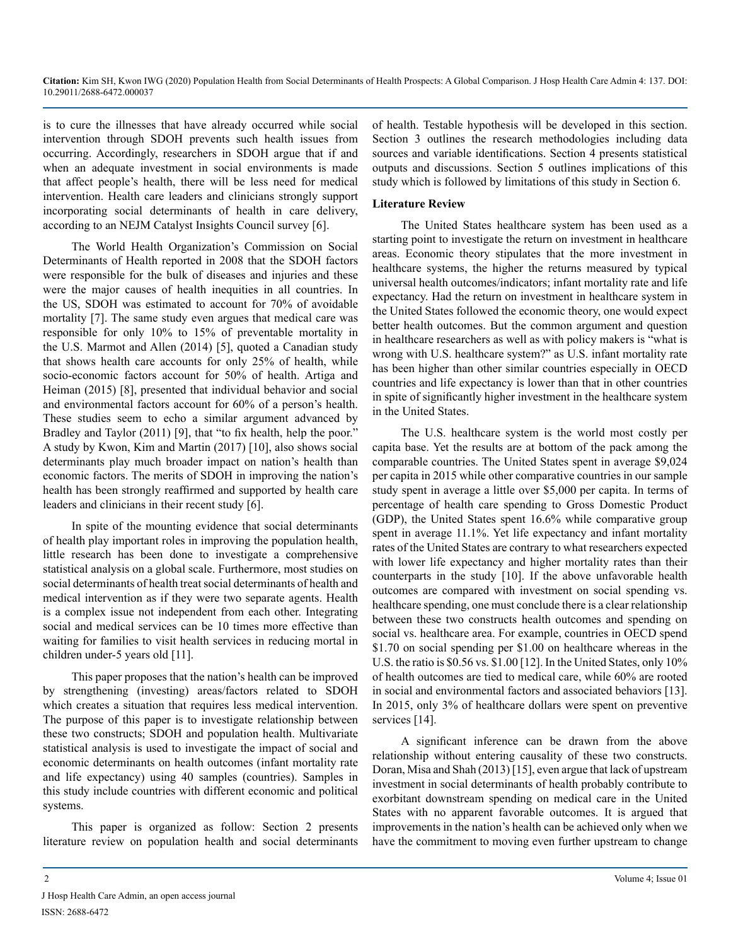is to cure the illnesses that have already occurred while social intervention through SDOH prevents such health issues from occurring. Accordingly, researchers in SDOH argue that if and when an adequate investment in social environments is made that affect people's health, there will be less need for medical intervention. Health care leaders and clinicians strongly support incorporating social determinants of health in care delivery, according to an NEJM Catalyst Insights Council survey [6].

The World Health Organization's Commission on Social Determinants of Health reported in 2008 that the SDOH factors were responsible for the bulk of diseases and injuries and these were the major causes of health inequities in all countries. In the US, SDOH was estimated to account for 70% of avoidable mortality [7]. The same study even argues that medical care was responsible for only 10% to 15% of preventable mortality in the U.S. Marmot and Allen (2014) [5], quoted a Canadian study that shows health care accounts for only 25% of health, while socio-economic factors account for 50% of health. Artiga and Heiman (2015) [8], presented that individual behavior and social and environmental factors account for 60% of a person's health. These studies seem to echo a similar argument advanced by Bradley and Taylor (2011) [9], that "to fix health, help the poor." A study by Kwon, Kim and Martin (2017) [10], also shows social determinants play much broader impact on nation's health than economic factors. The merits of SDOH in improving the nation's health has been strongly reaffirmed and supported by health care leaders and clinicians in their recent study [6].

In spite of the mounting evidence that social determinants of health play important roles in improving the population health, little research has been done to investigate a comprehensive statistical analysis on a global scale. Furthermore, most studies on social determinants of health treat social determinants of health and medical intervention as if they were two separate agents. Health is a complex issue not independent from each other. Integrating social and medical services can be 10 times more effective than waiting for families to visit health services in reducing mortal in children under-5 years old [11].

This paper proposes that the nation's health can be improved by strengthening (investing) areas/factors related to SDOH which creates a situation that requires less medical intervention. The purpose of this paper is to investigate relationship between these two constructs; SDOH and population health. Multivariate statistical analysis is used to investigate the impact of social and economic determinants on health outcomes (infant mortality rate and life expectancy) using 40 samples (countries). Samples in this study include countries with different economic and political systems.

This paper is organized as follow: Section 2 presents literature review on population health and social determinants of health. Testable hypothesis will be developed in this section. Section 3 outlines the research methodologies including data sources and variable identifications. Section 4 presents statistical outputs and discussions. Section 5 outlines implications of this study which is followed by limitations of this study in Section 6.

### **Literature Review**

The United States healthcare system has been used as a starting point to investigate the return on investment in healthcare areas. Economic theory stipulates that the more investment in healthcare systems, the higher the returns measured by typical universal health outcomes/indicators; infant mortality rate and life expectancy. Had the return on investment in healthcare system in the United States followed the economic theory, one would expect better health outcomes. But the common argument and question in healthcare researchers as well as with policy makers is "what is wrong with U.S. healthcare system?" as U.S. infant mortality rate has been higher than other similar countries especially in OECD countries and life expectancy is lower than that in other countries in spite of significantly higher investment in the healthcare system in the United States.

The U.S. healthcare system is the world most costly per capita base. Yet the results are at bottom of the pack among the comparable countries. The United States spent in average \$9,024 per capita in 2015 while other comparative countries in our sample study spent in average a little over \$5,000 per capita. In terms of percentage of health care spending to Gross Domestic Product (GDP), the United States spent 16.6% while comparative group spent in average 11.1%. Yet life expectancy and infant mortality rates of the United States are contrary to what researchers expected with lower life expectancy and higher mortality rates than their counterparts in the study [10]. If the above unfavorable health outcomes are compared with investment on social spending vs. healthcare spending, one must conclude there is a clear relationship between these two constructs health outcomes and spending on social vs. healthcare area. For example, countries in OECD spend \$1.70 on social spending per \$1.00 on healthcare whereas in the U.S. the ratio is \$0.56 vs. \$1.00 [12]. In the United States, only 10% of health outcomes are tied to medical care, while 60% are rooted in social and environmental factors and associated behaviors [13]. In 2015, only 3% of healthcare dollars were spent on preventive services [14].

A significant inference can be drawn from the above relationship without entering causality of these two constructs. Doran, Misa and Shah (2013) [15], even argue that lack of upstream investment in social determinants of health probably contribute to exorbitant downstream spending on medical care in the United States with no apparent favorable outcomes. It is argued that improvements in the nation's health can be achieved only when we have the commitment to moving even further upstream to change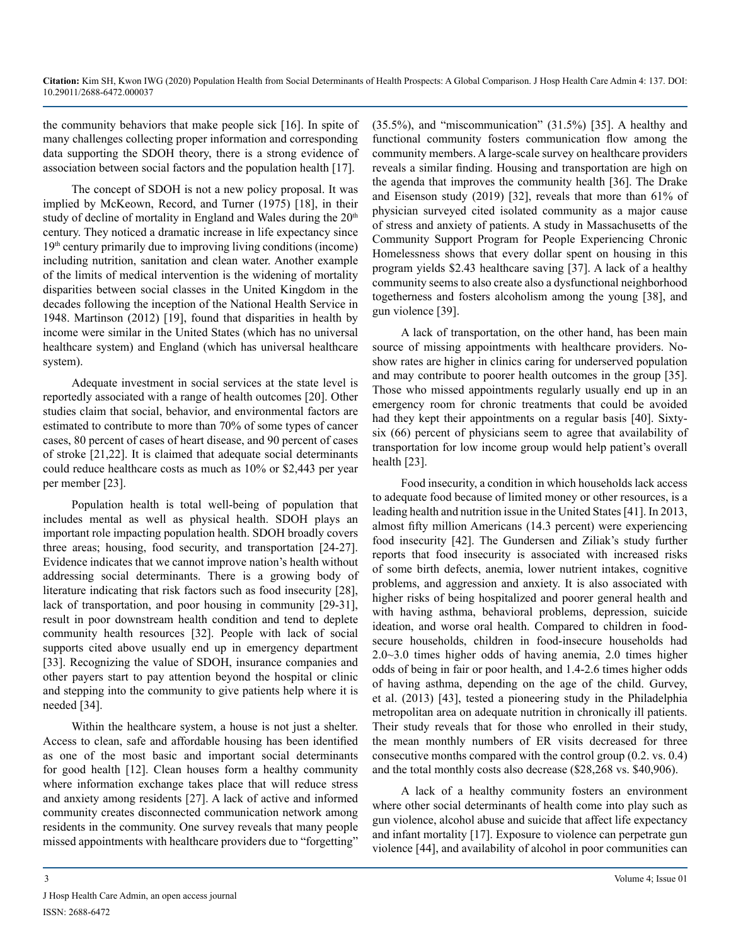the community behaviors that make people sick [16]. In spite of many challenges collecting proper information and corresponding data supporting the SDOH theory, there is a strong evidence of association between social factors and the population health [17].

The concept of SDOH is not a new policy proposal. It was implied by McKeown, Record, and Turner (1975) [18], in their study of decline of mortality in England and Wales during the 20<sup>th</sup> century. They noticed a dramatic increase in life expectancy since  $19<sup>th</sup>$  century primarily due to improving living conditions (income) including nutrition, sanitation and clean water. Another example of the limits of medical intervention is the widening of mortality disparities between social classes in the United Kingdom in the decades following the inception of the National Health Service in 1948. Martinson (2012) [19], found that disparities in health by income were similar in the United States (which has no universal healthcare system) and England (which has universal healthcare system).

Adequate investment in social services at the state level is reportedly associated with a range of health outcomes [20]. Other studies claim that social, behavior, and environmental factors are estimated to contribute to more than 70% of some types of cancer cases, 80 percent of cases of heart disease, and 90 percent of cases of stroke [21,22]. It is claimed that adequate social determinants could reduce healthcare costs as much as 10% or \$2,443 per year per member [23].

Population health is total well-being of population that includes mental as well as physical health. SDOH plays an important role impacting population health. SDOH broadly covers three areas; housing, food security, and transportation [24-27]. Evidence indicates that we cannot improve nation's health without addressing social determinants. There is a growing body of literature indicating that risk factors such as food insecurity [28], lack of transportation, and poor housing in community [29-31], result in poor downstream health condition and tend to deplete community health resources [32]. People with lack of social supports cited above usually end up in emergency department [33]. Recognizing the value of SDOH, insurance companies and other payers start to pay attention beyond the hospital or clinic and stepping into the community to give patients help where it is needed [34].

Within the healthcare system, a house is not just a shelter. Access to clean, safe and affordable housing has been identified as one of the most basic and important social determinants for good health [12]. Clean houses form a healthy community where information exchange takes place that will reduce stress and anxiety among residents [27]. A lack of active and informed community creates disconnected communication network among residents in the community. One survey reveals that many people missed appointments with healthcare providers due to "forgetting"

(35.5%), and "miscommunication" (31.5%) [35]. A healthy and functional community fosters communication flow among the community members. A large-scale survey on healthcare providers reveals a similar finding. Housing and transportation are high on the agenda that improves the community health [36]. The Drake and Eisenson study (2019) [32], reveals that more than 61% of physician surveyed cited isolated community as a major cause of stress and anxiety of patients. A study in Massachusetts of the Community Support Program for People Experiencing Chronic Homelessness shows that every dollar spent on housing in this program yields \$2.43 healthcare saving [37]. A lack of a healthy community seems to also create also a dysfunctional neighborhood togetherness and fosters alcoholism among the young [38], and gun violence [39].

A lack of transportation, on the other hand, has been main source of missing appointments with healthcare providers. Noshow rates are higher in clinics caring for underserved population and may contribute to poorer health outcomes in the group [35]. Those who missed appointments regularly usually end up in an emergency room for chronic treatments that could be avoided had they kept their appointments on a regular basis [40]. Sixtysix (66) percent of physicians seem to agree that availability of transportation for low income group would help patient's overall health [23].

Food insecurity, a condition in which households lack access to adequate food because of limited money or other resources, is a leading health and nutrition issue in the United States [41]. In 2013, almost fifty million Americans (14.3 percent) were experiencing food insecurity [42]. The Gundersen and Ziliak's study further reports that food insecurity is associated with increased risks of some birth defects, anemia, lower nutrient intakes, cognitive problems, and aggression and anxiety. It is also associated with higher risks of being hospitalized and poorer general health and with having asthma, behavioral problems, depression, suicide ideation, and worse oral health. Compared to children in foodsecure households, children in food-insecure households had 2.0~3.0 times higher odds of having anemia, 2.0 times higher odds of being in fair or poor health, and 1.4-2.6 times higher odds of having asthma, depending on the age of the child. Gurvey, et al. (2013) [43], tested a pioneering study in the Philadelphia metropolitan area on adequate nutrition in chronically ill patients. Their study reveals that for those who enrolled in their study, the mean monthly numbers of ER visits decreased for three consecutive months compared with the control group (0.2. vs. 0.4) and the total monthly costs also decrease (\$28,268 vs. \$40,906).

A lack of a healthy community fosters an environment where other social determinants of health come into play such as gun violence, alcohol abuse and suicide that affect life expectancy and infant mortality [17]. Exposure to violence can perpetrate gun violence [44], and availability of alcohol in poor communities can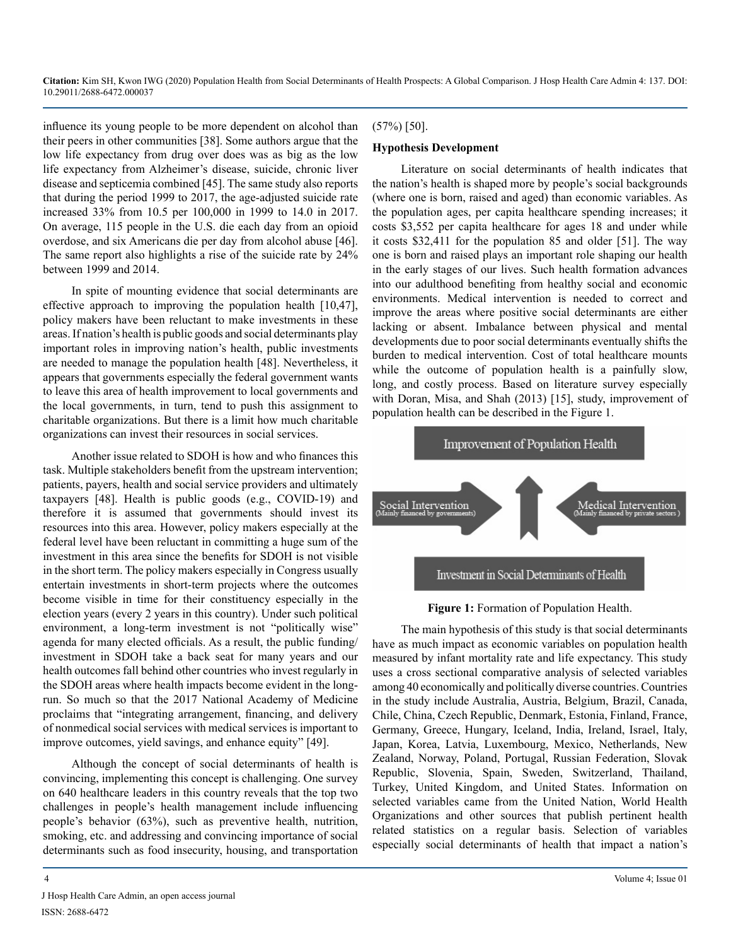influence its young people to be more dependent on alcohol than their peers in other communities [38]. Some authors argue that the low life expectancy from drug over does was as big as the low life expectancy from Alzheimer's disease, suicide, chronic liver disease and septicemia combined [45]. The same study also reports that during the period 1999 to 2017, the age-adjusted suicide rate increased 33% from 10.5 per 100,000 in 1999 to 14.0 in 2017. On average, 115 people in the U.S. die each day from an opioid overdose, and six Americans die per day from alcohol abuse [46]. The same report also highlights a rise of the suicide rate by 24% between 1999 and 2014.

In spite of mounting evidence that social determinants are effective approach to improving the population health [10,47], policy makers have been reluctant to make investments in these areas. If nation's health is public goods and social determinants play important roles in improving nation's health, public investments are needed to manage the population health [48]. Nevertheless, it appears that governments especially the federal government wants to leave this area of health improvement to local governments and the local governments, in turn, tend to push this assignment to charitable organizations. But there is a limit how much charitable organizations can invest their resources in social services.

Another issue related to SDOH is how and who finances this task. Multiple stakeholders benefit from the upstream intervention; patients, payers, health and social service providers and ultimately taxpayers [48]. Health is public goods (e.g., COVID-19) and therefore it is assumed that governments should invest its resources into this area. However, policy makers especially at the federal level have been reluctant in committing a huge sum of the investment in this area since the benefits for SDOH is not visible in the short term. The policy makers especially in Congress usually entertain investments in short-term projects where the outcomes become visible in time for their constituency especially in the election years (every 2 years in this country). Under such political environment, a long-term investment is not "politically wise" agenda for many elected officials. As a result, the public funding/ investment in SDOH take a back seat for many years and our health outcomes fall behind other countries who invest regularly in the SDOH areas where health impacts become evident in the longrun. So much so that the 2017 National Academy of Medicine proclaims that "integrating arrangement, financing, and delivery of nonmedical social services with medical services is important to improve outcomes, yield savings, and enhance equity" [49].

Although the concept of social determinants of health is convincing, implementing this concept is challenging. One survey on 640 healthcare leaders in this country reveals that the top two challenges in people's health management include influencing people's behavior (63%), such as preventive health, nutrition, smoking, etc. and addressing and convincing importance of social determinants such as food insecurity, housing, and transportation

### (57%) [50].

#### **Hypothesis Development**

Literature on social determinants of health indicates that the nation's health is shaped more by people's social backgrounds (where one is born, raised and aged) than economic variables. As the population ages, per capita healthcare spending increases; it costs \$3,552 per capita healthcare for ages 18 and under while it costs \$32,411 for the population 85 and older [51]. The way one is born and raised plays an important role shaping our health in the early stages of our lives. Such health formation advances into our adulthood benefiting from healthy social and economic environments. Medical intervention is needed to correct and improve the areas where positive social determinants are either lacking or absent. Imbalance between physical and mental developments due to poor social determinants eventually shifts the burden to medical intervention. Cost of total healthcare mounts while the outcome of population health is a painfully slow, long, and costly process. Based on literature survey especially with Doran, Misa, and Shah (2013) [15], study, improvement of population health can be described in the Figure 1.



#### **Figure 1:** Formation of Population Health.

The main hypothesis of this study is that social determinants have as much impact as economic variables on population health measured by infant mortality rate and life expectancy. This study uses a cross sectional comparative analysis of selected variables among 40 economically and politically diverse countries. Countries in the study include Australia, Austria, Belgium, Brazil, Canada, Chile, China, Czech Republic, Denmark, Estonia, Finland, France, Germany, Greece, Hungary, Iceland, India, Ireland, Israel, Italy, Japan, Korea, Latvia, Luxembourg, Mexico, Netherlands, New Zealand, Norway, Poland, Portugal, Russian Federation, Slovak Republic, Slovenia, Spain, Sweden, Switzerland, Thailand, Turkey, United Kingdom, and United States. Information on selected variables came from the United Nation, World Health Organizations and other sources that publish pertinent health related statistics on a regular basis. Selection of variables especially social determinants of health that impact a nation's

J Hosp Health Care Admin, an open access journal ISSN: 2688-6472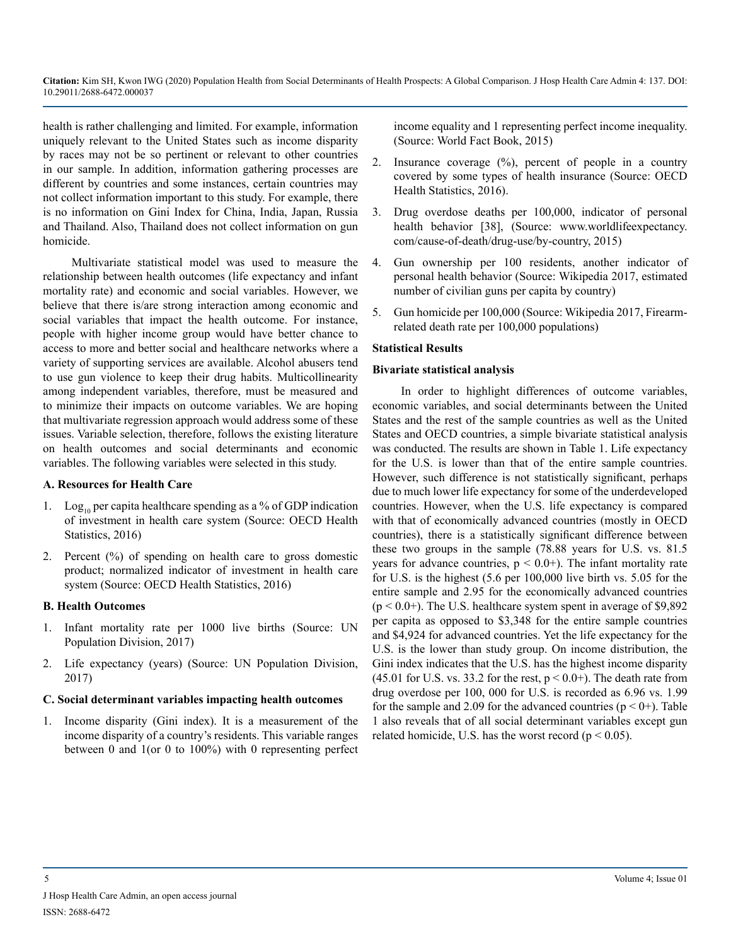health is rather challenging and limited. For example, information uniquely relevant to the United States such as income disparity by races may not be so pertinent or relevant to other countries in our sample. In addition, information gathering processes are different by countries and some instances, certain countries may not collect information important to this study. For example, there is no information on Gini Index for China, India, Japan, Russia and Thailand. Also, Thailand does not collect information on gun homicide.

Multivariate statistical model was used to measure the relationship between health outcomes (life expectancy and infant mortality rate) and economic and social variables. However, we believe that there is/are strong interaction among economic and social variables that impact the health outcome. For instance, people with higher income group would have better chance to access to more and better social and healthcare networks where a variety of supporting services are available. Alcohol abusers tend to use gun violence to keep their drug habits. Multicollinearity among independent variables, therefore, must be measured and to minimize their impacts on outcome variables. We are hoping that multivariate regression approach would address some of these issues. Variable selection, therefore, follows the existing literature on health outcomes and social determinants and economic variables. The following variables were selected in this study.

#### **A. Resources for Health Care**

- 1. Log<sub>10</sub> per capita healthcare spending as a % of GDP indication of investment in health care system (Source: OECD Health Statistics, 2016)
- 2. Percent (%) of spending on health care to gross domestic product; normalized indicator of investment in health care system (Source: OECD Health Statistics, 2016)

#### **B. Health Outcomes**

- 1. Infant mortality rate per 1000 live births (Source: UN Population Division, 2017)
- 2. Life expectancy (years) (Source: UN Population Division, 2017)

#### **C. Social determinant variables impacting health outcomes**

1. Income disparity (Gini index). It is a measurement of the income disparity of a country's residents. This variable ranges between 0 and 1(or 0 to 100%) with 0 representing perfect

income equality and 1 representing perfect income inequality. (Source: World Fact Book, 2015)

- 2. Insurance coverage (%), percent of people in a country covered by some types of health insurance (Source: OECD Health Statistics, 2016).
- 3. Drug overdose deaths per 100,000, indicator of personal health behavior [38], (Source: [www.worldlifeexpectancy.](http://www.worldlifeexpectancy.com/cause-of-death/drug-use/by-country) [com/cause-of-death/drug-use/by-country,](http://www.worldlifeexpectancy.com/cause-of-death/drug-use/by-country) 2015)
- 4. Gun ownership per 100 residents, another indicator of personal health behavior (Source: Wikipedia 2017, estimated number of civilian guns per capita by country)
- 5. Gun homicide per 100,000 (Source: Wikipedia 2017, Firearmrelated death rate per 100,000 populations)

#### **Statistical Results**

#### **Bivariate statistical analysis**

In order to highlight differences of outcome variables, economic variables, and social determinants between the United States and the rest of the sample countries as well as the United States and OECD countries, a simple bivariate statistical analysis was conducted. The results are shown in Table 1. Life expectancy for the U.S. is lower than that of the entire sample countries. However, such difference is not statistically significant, perhaps due to much lower life expectancy for some of the underdeveloped countries. However, when the U.S. life expectancy is compared with that of economically advanced countries (mostly in OECD countries), there is a statistically significant difference between these two groups in the sample (78.88 years for U.S. vs. 81.5 years for advance countries,  $p < 0.0+$ ). The infant mortality rate for U.S. is the highest (5.6 per 100,000 live birth vs. 5.05 for the entire sample and 2.95 for the economically advanced countries  $(p < 0.0)$ . The U.S. healthcare system spent in average of \$9,892 per capita as opposed to \$3,348 for the entire sample countries and \$4,924 for advanced countries. Yet the life expectancy for the U.S. is the lower than study group. On income distribution, the Gini index indicates that the U.S. has the highest income disparity (45.01 for U.S. vs. 33.2 for the rest,  $p < 0.0+$ ). The death rate from drug overdose per 100, 000 for U.S. is recorded as 6.96 vs. 1.99 for the sample and 2.09 for the advanced countries  $(p < 0+)$ . Table 1 also reveals that of all social determinant variables except gun related homicide, U.S. has the worst record ( $p < 0.05$ ).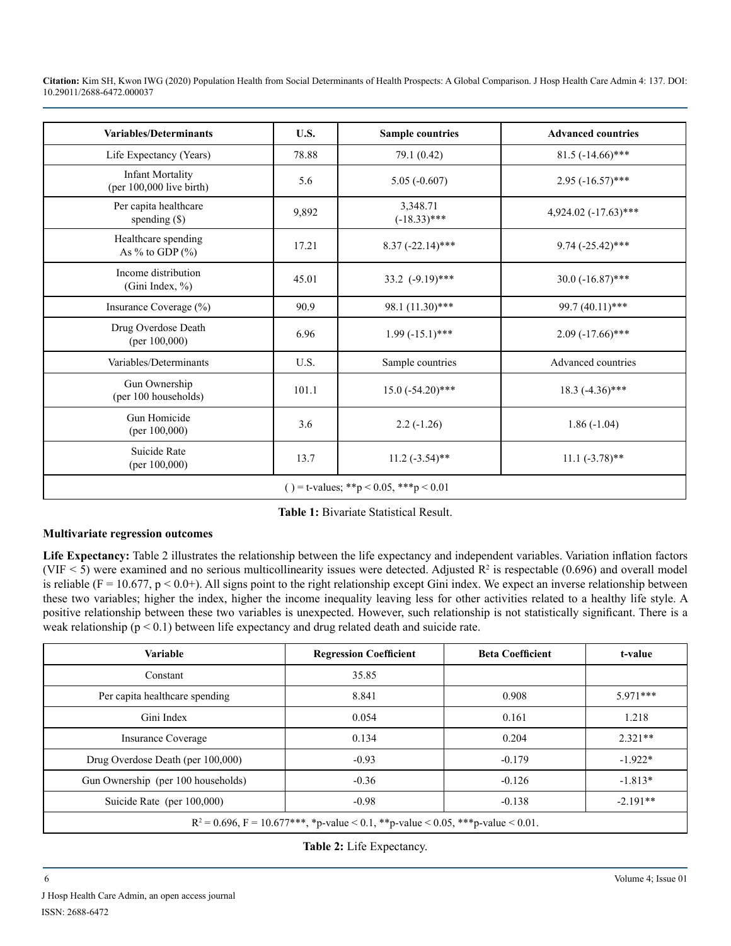| <b>Variables/Determinants</b>                         | U.S.  | <b>Sample countries</b>    | <b>Advanced countries</b> |  |  |  |
|-------------------------------------------------------|-------|----------------------------|---------------------------|--|--|--|
| Life Expectancy (Years)                               | 78.88 | 79.1 (0.42)                | $81.5$ (-14.66)***        |  |  |  |
| <b>Infant Mortality</b><br>(per $100,000$ live birth) | 5.6   | $5.05 (-0.607)$            | $2.95 (-16.57)$ ***       |  |  |  |
| Per capita healthcare<br>spending $(\$)$              | 9,892 | 3,348.71<br>$(-18.33)$ *** | $4,924.02$ (-17.63)***    |  |  |  |
| Healthcare spending<br>As $\%$ to GDP $(\%$           | 17.21 | $8.37(-22.14)$ ***         | $9.74 (-25.42)$ ***       |  |  |  |
| Income distribution<br>(Gini Index, %)                | 45.01 | 33.2 $(-9.19)$ ***         | $30.0$ (-16.87)***        |  |  |  |
| Insurance Coverage (%)                                | 90.9  | 98.1 (11.30)***            | 99.7 (40.11)***           |  |  |  |
| Drug Overdose Death<br>(per $100,000$ )               | 6.96  | $1.99(-15.1)$ ***          | $2.09(-17.66)$ ***        |  |  |  |
| Variables/Determinants                                | U.S.  | Sample countries           | Advanced countries        |  |  |  |
| Gun Ownership<br>(per 100 households)                 | 101.1 | $15.0 (-54.20)$ ***        | $18.3 (-4.36)$ ***        |  |  |  |
| Gun Homicide<br>(per $100,000$ )                      | 3.6   | $2.2(-1.26)$               | $1.86(-1.04)$             |  |  |  |
| Suicide Rate<br>(per $100,000$ )                      | 13.7  | $11.2 (-3.54)$ **          | $11.1 (-3.78)$ **         |  |  |  |
| () = t-values; **p < 0.05, ***p < 0.01                |       |                            |                           |  |  |  |

**Table 1:** Bivariate Statistical Result.

# **Multivariate regression outcomes**

**Life Expectancy:** Table 2 illustrates the relationship between the life expectancy and independent variables. Variation inflation factors (VIF  $\le$  5) were examined and no serious multicollinearity issues were detected. Adjusted R<sup>2</sup> is respectable (0.696) and overall model is reliable ( $F = 10.677$ ,  $p < 0.0+$ ). All signs point to the right relationship except Gini index. We expect an inverse relationship between these two variables; higher the index, higher the income inequality leaving less for other activities related to a healthy life style. A positive relationship between these two variables is unexpected. However, such relationship is not statistically significant. There is a weak relationship ( $p < 0.1$ ) between life expectancy and drug related death and suicide rate.

| <b>Variable</b>                                                                        | <b>Regression Coefficient</b> | <b>Beta Coefficient</b> | t-value    |  |  |
|----------------------------------------------------------------------------------------|-------------------------------|-------------------------|------------|--|--|
| Constant                                                                               | 35.85                         |                         |            |  |  |
| Per capita healthcare spending                                                         | 8.841                         | 0.908                   | $5.971***$ |  |  |
| Gini Index                                                                             | 0.054                         | 0.161                   | 1.218      |  |  |
| <b>Insurance Coverage</b>                                                              | 0.134                         | 0.204                   | $2.321**$  |  |  |
| Drug Overdose Death (per 100,000)                                                      | $-0.93$                       | $-0.179$                | $-1.922*$  |  |  |
| Gun Ownership (per 100 households)                                                     | $-0.36$                       | $-0.126$                | $-1.813*$  |  |  |
| Suicide Rate (per 100,000)                                                             | $-0.98$                       | $-0.138$                | $-2.191**$ |  |  |
| $R^2 = 0.696$ , $F = 10.677$ ***, *p-value < 0.1, **p-value < 0.05, ***p-value < 0.01. |                               |                         |            |  |  |

**Table 2:** Life Expectancy.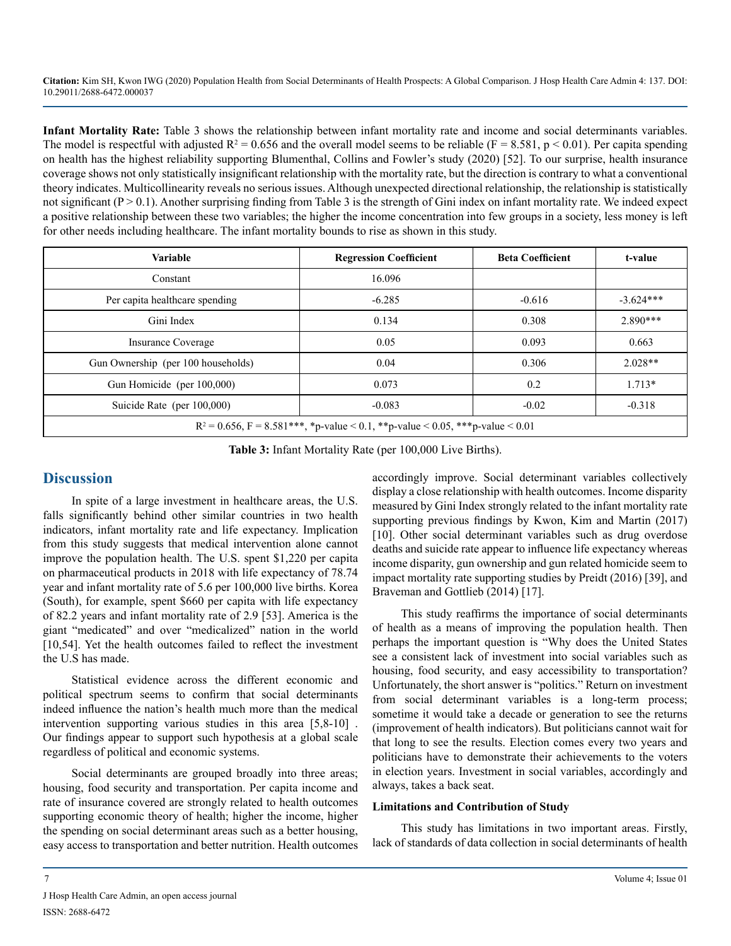**Infant Mortality Rate:** Table 3 shows the relationship between infant mortality rate and income and social determinants variables. The model is respectful with adjusted  $R^2 = 0.656$  and the overall model seems to be reliable ( $F = 8.581$ ,  $p < 0.01$ ). Per capita spending on health has the highest reliability supporting Blumenthal, Collins and Fowler's study (2020) [52]. To our surprise, health insurance coverage shows not only statistically insignificant relationship with the mortality rate, but the direction is contrary to what a conventional theory indicates. Multicollinearity reveals no serious issues. Although unexpected directional relationship, the relationship is statistically not significant  $(P > 0.1)$ . Another surprising finding from Table 3 is the strength of Gini index on infant mortality rate. We indeed expect a positive relationship between these two variables; the higher the income concentration into few groups in a society, less money is left for other needs including healthcare. The infant mortality bounds to rise as shown in this study.

| Variable                                                                          | <b>Regression Coefficient</b> | <b>Beta Coefficient</b> | t-value     |  |  |
|-----------------------------------------------------------------------------------|-------------------------------|-------------------------|-------------|--|--|
| Constant                                                                          | 16.096                        |                         |             |  |  |
| Per capita healthcare spending                                                    | $-6.285$                      | $-0.616$                | $-3.624***$ |  |  |
| Gini Index                                                                        | 0.134                         | 0.308                   | $2.890***$  |  |  |
| Insurance Coverage                                                                | 0.05                          | 0.093                   | 0.663       |  |  |
| Gun Ownership (per 100 households)                                                | 0.04                          | 0.306                   | $2.028**$   |  |  |
| Gun Homicide (per 100,000)                                                        | 0.073                         | 0.2                     | $1.713*$    |  |  |
| Suicide Rate (per 100,000)                                                        | $-0.083$                      | $-0.02$                 | $-0.318$    |  |  |
| $R^2 = 0.656$ , F = 8.581***, *p-value < 0.1, **p-value < 0.05, ***p-value < 0.01 |                               |                         |             |  |  |

**Table 3:** Infant Mortality Rate (per 100,000 Live Births).

# **Discussion**

In spite of a large investment in healthcare areas, the U.S. falls significantly behind other similar countries in two health indicators, infant mortality rate and life expectancy. Implication from this study suggests that medical intervention alone cannot improve the population health. The U.S. spent \$1,220 per capita on pharmaceutical products in 2018 with life expectancy of 78.74 year and infant mortality rate of 5.6 per 100,000 live births. Korea (South), for example, spent \$660 per capita with life expectancy of 82.2 years and infant mortality rate of 2.9 [53]. America is the giant "medicated" and over "medicalized" nation in the world [10,54]. Yet the health outcomes failed to reflect the investment the U.S has made.

Statistical evidence across the different economic and political spectrum seems to confirm that social determinants indeed influence the nation's health much more than the medical intervention supporting various studies in this area [5,8-10] . Our findings appear to support such hypothesis at a global scale regardless of political and economic systems.

Social determinants are grouped broadly into three areas; housing, food security and transportation. Per capita income and rate of insurance covered are strongly related to health outcomes supporting economic theory of health; higher the income, higher the spending on social determinant areas such as a better housing, easy access to transportation and better nutrition. Health outcomes accordingly improve. Social determinant variables collectively display a close relationship with health outcomes. Income disparity measured by Gini Index strongly related to the infant mortality rate supporting previous findings by Kwon, Kim and Martin (2017) [10]. Other social determinant variables such as drug overdose deaths and suicide rate appear to influence life expectancy whereas income disparity, gun ownership and gun related homicide seem to impact mortality rate supporting studies by Preidt (2016) [39], and Braveman and Gottlieb (2014) [17].

This study reaffirms the importance of social determinants of health as a means of improving the population health. Then perhaps the important question is "Why does the United States see a consistent lack of investment into social variables such as housing, food security, and easy accessibility to transportation? Unfortunately, the short answer is "politics." Return on investment from social determinant variables is a long-term process; sometime it would take a decade or generation to see the returns (improvement of health indicators). But politicians cannot wait for that long to see the results. Election comes every two years and politicians have to demonstrate their achievements to the voters in election years. Investment in social variables, accordingly and always, takes a back seat.

#### **Limitations and Contribution of Study**

This study has limitations in two important areas. Firstly, lack of standards of data collection in social determinants of health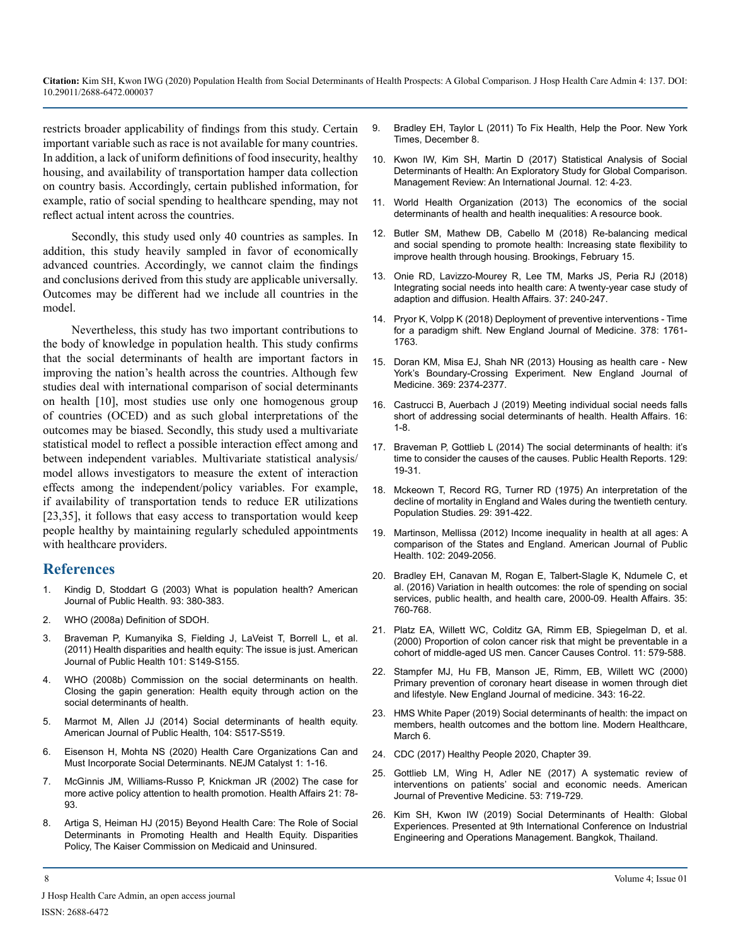restricts broader applicability of findings from this study. Certain important variable such as race is not available for many countries. In addition, a lack of uniform definitions of food insecurity, healthy housing, and availability of transportation hamper data collection on country basis. Accordingly, certain published information, for example, ratio of social spending to healthcare spending, may not reflect actual intent across the countries.

Secondly, this study used only 40 countries as samples. In addition, this study heavily sampled in favor of economically advanced countries. Accordingly, we cannot claim the findings and conclusions derived from this study are applicable universally. Outcomes may be different had we include all countries in the model.

Nevertheless, this study has two important contributions to the body of knowledge in population health. This study confirms that the social determinants of health are important factors in improving the nation's health across the countries. Although few studies deal with international comparison of social determinants on health [10], most studies use only one homogenous group of countries (OCED) and as such global interpretations of the outcomes may be biased. Secondly, this study used a multivariate statistical model to reflect a possible interaction effect among and between independent variables. Multivariate statistical analysis/ model allows investigators to measure the extent of interaction effects among the independent/policy variables. For example, if availability of transportation tends to reduce ER utilizations [23,35], it follows that easy access to transportation would keep people healthy by maintaining regularly scheduled appointments with healthcare providers.

# **References**

- Kindig D, Stoddart G (2003) What is population health? American [Journal of Public Health. 93: 380-383.](https://www.ncbi.nlm.nih.gov/pmc/articles/PMC1447747/)
- 2. [WHO \(2008a\) Definition of SDOH.](https://www.who.int/social_determinants/thecommission/finalreport/en/)
- 3. [Braveman P, Kumanyika S, Fielding J, LaVeist T, Borrell L, et al.](https://www.ncbi.nlm.nih.gov/pmc/articles/PMC3222512/)  [\(2011\) Health disparities and health equity: The issue is just. American](https://www.ncbi.nlm.nih.gov/pmc/articles/PMC3222512/)  [Journal of Public Health 101: S149-S155.](https://www.ncbi.nlm.nih.gov/pmc/articles/PMC3222512/)
- 4. [WHO \(2008b\) Commission on the social determinants on health.](https://www.who.int/social_determinants/thecommission/finalreport/en/)  [Closing the gapin generation: Health equity through action on the](https://www.who.int/social_determinants/thecommission/finalreport/en/)  [social determinants of health.](https://www.who.int/social_determinants/thecommission/finalreport/en/)
- 5. [Marmot M, Allen JJ \(2014\) Social determinants of health equity.](https://www.ncbi.nlm.nih.gov/pmc/articles/PMC4151898/) [American Journal of Public Health, 104: S517-S519.](https://www.ncbi.nlm.nih.gov/pmc/articles/PMC4151898/)
- 6. [Eisenson H, Mohta NS \(2020\) Health Care Organizations Can and](https://catalyst.nejm.org/doi/full/10.1056/CAT.20.0130)  [Must Incorporate Social Determinants. NEJM Catalyst 1: 1-16.](https://catalyst.nejm.org/doi/full/10.1056/CAT.20.0130)
- 7. [McGinnis JM, Williams-Russo P, Knickman JR \(2002\) The case for](https://www.healthaffairs.org/doi/full/10.1377/hlthaff.21.2.78)  [more active policy attention to health promotion. Health Affairs 21: 78-](https://www.healthaffairs.org/doi/full/10.1377/hlthaff.21.2.78) [93.](https://www.healthaffairs.org/doi/full/10.1377/hlthaff.21.2.78)
- 8. [Artiga S, Heiman HJ \(2015\) Beyond Health Care: The Role of Social](http://files.kff.org/attachment/issue-brief-beyond-health-care)  [Determinants in Promoting Health and Health Equity. Disparities](http://files.kff.org/attachment/issue-brief-beyond-health-care)  [Policy, The Kaiser Commission on Medicaid and Uninsured.](http://files.kff.org/attachment/issue-brief-beyond-health-care)
- 9. [Bradley EH, Taylor L \(2011\) To Fix Health, Help the Poor. New York](https://www.nytimes.com/2011/12/09/opinion/to-fix-health-care-help-the-poor.html)  [Times, December 8.](https://www.nytimes.com/2011/12/09/opinion/to-fix-health-care-help-the-poor.html)
- 10. [Kwon IW, Kim SH, Martin D \(2017\) Statistical Analysis of Social](https://www.researchgate.net/publication/334389225_Statistical_Analysis_of_Social_Determinants_of_Health_An_Exploratory_Study_for_Global_Comparison)  [Determinants of Health: An Exploratory Study for Global Comparison.](https://www.researchgate.net/publication/334389225_Statistical_Analysis_of_Social_Determinants_of_Health_An_Exploratory_Study_for_Global_Comparison)  [Management Review: An International Journal. 12: 4-23.](https://www.researchgate.net/publication/334389225_Statistical_Analysis_of_Social_Determinants_of_Health_An_Exploratory_Study_for_Global_Comparison)
- 11. [World Health Organization \(2013\) The economics of the social](https://www.who.int/social_determinants/publications/9789241548625/en/)  [determinants of health and health inequalities: A resource book.](https://www.who.int/social_determinants/publications/9789241548625/en/)
- 12. [Butler SM, Mathew DB, Cabello M \(2018\) Re-balancing medical](https://www.brookings.edu/blog/usc-brookings-schaeffer-on-health-policy/2017/02/15/re-balancing-medical-and-social-spending-to-promote-health-increasing-state-flexibility-to-improve-health-through-housing/)  [and social spending to promote health: Increasing state flexibility to](https://www.brookings.edu/blog/usc-brookings-schaeffer-on-health-policy/2017/02/15/re-balancing-medical-and-social-spending-to-promote-health-increasing-state-flexibility-to-improve-health-through-housing/)  [improve health through housing. Brookings, February 15.](https://www.brookings.edu/blog/usc-brookings-schaeffer-on-health-policy/2017/02/15/re-balancing-medical-and-social-spending-to-promote-health-increasing-state-flexibility-to-improve-health-through-housing/)
- 13. [Onie RD, Lavizzo-Mourey R, Lee TM, Marks JS, Peria RJ \(2018\)](https://www.healthaffairs.org/doi/abs/10.1377/hlthaff.2017.1113)  [Integrating social needs into health care: A twenty-year case study of](https://www.healthaffairs.org/doi/abs/10.1377/hlthaff.2017.1113)  [adaption and diffusion. Health Affairs. 37: 240-247.](https://www.healthaffairs.org/doi/abs/10.1377/hlthaff.2017.1113)
- 14. [Pryor K, Volpp K \(2018\) Deployment of preventive interventions Time](https://pubmed.ncbi.nlm.nih.gov/29742382/)  [for a paradigm shift. New England Journal of Medicine. 378: 1761-](https://pubmed.ncbi.nlm.nih.gov/29742382/) [1763.](https://pubmed.ncbi.nlm.nih.gov/29742382/)
- 15. [Doran KM, Misa EJ, Shah NR \(2013\) Housing as health care New](https://www.nejm.org/doi/full/10.1056/NEJMp1310121)  [York's Boundary-Crossing Experiment. New England Journal of](https://www.nejm.org/doi/full/10.1056/NEJMp1310121)  [Medicine. 369: 2374-2377.](https://www.nejm.org/doi/full/10.1056/NEJMp1310121)
- 16. [Castrucci B, Auerbach J \(2019\) Meeting individual social needs falls](https://www.pcpcc.org/2019/01/17/meeting-individual-social-needs-falls-short-addressing-social-determinants-health)  [short of addressing social determinants of health. Health Affairs. 16:](https://www.pcpcc.org/2019/01/17/meeting-individual-social-needs-falls-short-addressing-social-determinants-health) [1-8.](https://www.pcpcc.org/2019/01/17/meeting-individual-social-needs-falls-short-addressing-social-determinants-health)
- 17. [Braveman P, Gottlieb L \(2014\) The social determinants of health: it's](https://www.ncbi.nlm.nih.gov/pmc/articles/PMC3863696/)  [time to consider the causes of the causes. Public Health Reports. 129:](https://www.ncbi.nlm.nih.gov/pmc/articles/PMC3863696/) [19-31.](https://www.ncbi.nlm.nih.gov/pmc/articles/PMC3863696/)
- 18. [Mckeown T, Record RG, Turner RD \(1975\) An interpretation of the](https://www.jstor.org/stable/2173935)  [decline of mortality in England and Wales during the twentieth century.](https://www.jstor.org/stable/2173935)  [Population Studies. 29: 391-422.](https://www.jstor.org/stable/2173935)
- 19. [Martinson, Mellissa \(2012\) Income inequality in health at all ages: A](https://www.ncbi.nlm.nih.gov/pmc/articles/PMC3477975/#:~:text=Population health is worse in,spending in the United States.&text=concluded that income%2D and education,1 whereas Avendano et al.) [comparison of the States and England. American Journal of Public](https://www.ncbi.nlm.nih.gov/pmc/articles/PMC3477975/#:~:text=Population health is worse in,spending in the United States.&text=concluded that income%2D and education,1 whereas Avendano et al.)  [Health. 102: 2049-2056.](https://www.ncbi.nlm.nih.gov/pmc/articles/PMC3477975/#:~:text=Population health is worse in,spending in the United States.&text=concluded that income%2D and education,1 whereas Avendano et al.)
- 20. [Bradley EH, Canavan M, Rogan E, Talbert-Slagle K, Ndumele C, et](https://www.healthaffairs.org/doi/full/10.1377/hlthaff.2015.0814) [al. \(2016\) Variation in health outcomes: the role of spending on social](https://www.healthaffairs.org/doi/full/10.1377/hlthaff.2015.0814)  [services, public health, and health care, 2000-09. Health Affairs. 35:](https://www.healthaffairs.org/doi/full/10.1377/hlthaff.2015.0814)  [760-768](https://www.healthaffairs.org/doi/full/10.1377/hlthaff.2015.0814).
- 21. [Platz EA, Willett WC, Colditz GA, Rimm EB, Spiegelman D, et al.](https://pubmed.ncbi.nlm.nih.gov/10977102/) [\(2000\) Proportion of colon cancer risk that might be preventable in a](https://pubmed.ncbi.nlm.nih.gov/10977102/) [cohort of middle-aged US men. Cancer Causes Control. 11: 579-588.](https://pubmed.ncbi.nlm.nih.gov/10977102/)
- 22. [Stampfer MJ, Hu FB, Manson JE, Rimm, EB, Willett WC \(2000\)](https://www.nejm.org/doi/full/10.1056/nejm200007063430103)  [Primary prevention of coronary heart disease in women through diet](https://www.nejm.org/doi/full/10.1056/nejm200007063430103)  [and lifestyle. New England Journal of medicine. 343: 16-22.](https://www.nejm.org/doi/full/10.1056/nejm200007063430103)
- 23. [HMS White Paper \(2019\) Social determinants of health: the impact on](https://www.modernhealthcare.com/patient-care/social-determinants-health-impact-members-health-outcomes-and-bottom-line#:~:text=My Account-,Social Determinants of Health%3A The Impact on Members%2C Health,Outcomes and the Bottom Line&text=Trends toward value%2Dbased care,outcomes on a large scale.) [members, health outcomes and the bottom line. Modern Healthcare,](https://www.modernhealthcare.com/patient-care/social-determinants-health-impact-members-health-outcomes-and-bottom-line#:~:text=My Account-,Social Determinants of Health%3A The Impact on Members%2C Health,Outcomes and the Bottom Line&text=Trends toward value%2Dbased care,outcomes on a large scale.)  [March 6.](https://www.modernhealthcare.com/patient-care/social-determinants-health-impact-members-health-outcomes-and-bottom-line#:~:text=My Account-,Social Determinants of Health%3A The Impact on Members%2C Health,Outcomes and the Bottom Line&text=Trends toward value%2Dbased care,outcomes on a large scale.)
- 24. [CDC \(2017\) Healthy People 2020, Chapter 39.](https://www.cdc.gov/nchs/data/hpdata2020/HP2020MCR-C39-SDOH.pdf)
- 25. [Gottlieb LM, Wing H, Adler NE \(2017\) A systematic review of](https://pubmed.ncbi.nlm.nih.gov/28688725/) [interventions on patients' social and economic needs. American](https://pubmed.ncbi.nlm.nih.gov/28688725/)  [Journal of Preventive Medicine. 53: 719-729.](https://pubmed.ncbi.nlm.nih.gov/28688725/)
- 26. [Kim SH, Kwon IW \(2019\) Social Determinants of Health: Global](http://ieomsociety.org/ieom2019/proceedings/ ID145: 3679-3680)  [Experiences. Presented at 9th International Conference on Industrial](http://ieomsociety.org/ieom2019/proceedings/ ID145: 3679-3680)  [Engineering and Operations Management. Bangkok, Thailand.](http://ieomsociety.org/ieom2019/proceedings/ ID145: 3679-3680)